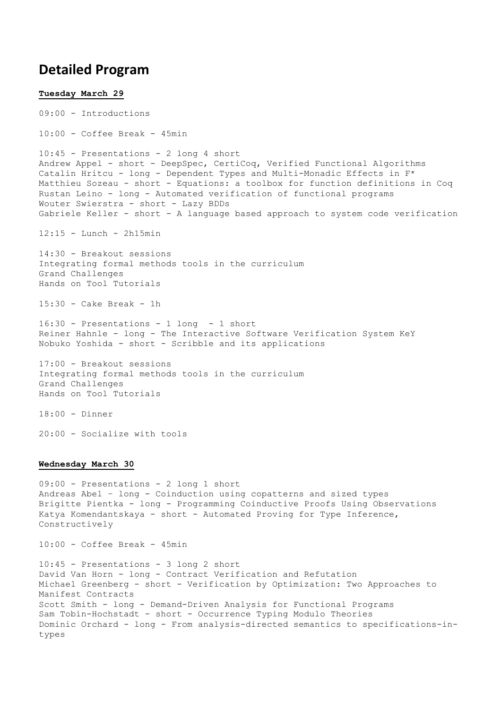## **Detailed Program**

**Tuesday March 29** 09:00 - Introductions 10:00 - Coffee Break - 45min 10:45 - Presentations - 2 long 4 short Andrew Appel - short - DeepSpec, CertiCoq, Verified Functional Algorithms Catalin Hritcu - long - Dependent Types and Multi-Monadic Effects in F\* Matthieu Sozeau - short - Equations: a toolbox for function definitions in Coq Rustan Leino - long - Automated verification of functional programs Wouter Swierstra - short - Lazy BDDs Gabriele Keller - short - A language based approach to system code verification 12:15 - Lunch - 2h15min 14:30 - Breakout sessions Integrating formal methods tools in the curriculum Grand Challenges Hands on Tool Tutorials  $15:30 - \text{Cake Break} - 1h$ 16:30 - Presentations - 1 long - 1 short Reiner Hahnle - long - The Interactive Software Verification System KeY Nobuko Yoshida - short - Scribble and its applications 17:00 - Breakout sessions Integrating formal methods tools in the curriculum Grand Challenges Hands on Tool Tutorials 18:00 - Dinner 20:00 - Socialize with tools **Wednesday March 30** 09:00 - Presentations - 2 long 1 short Andreas Abel – long - Coinduction using copatterns and sized types Brigitte Pientka - long - Programming Coinductive Proofs Using Observations Katya Komendantskaya - short - Automated Proving for Type Inference, Constructively 10:00 - Coffee Break - 45min 10:45 - Presentations - 3 long 2 short David Van Horn - long - Contract Verification and Refutation Michael Greenberg - short - Verification by Optimization: Two Approaches to Manifest Contracts

Scott Smith - long - Demand-Driven Analysis for Functional Programs Sam Tobin-Hochstadt - short - Occurrence Typing Modulo Theories Dominic Orchard - long - From analysis-directed semantics to specifications-intypes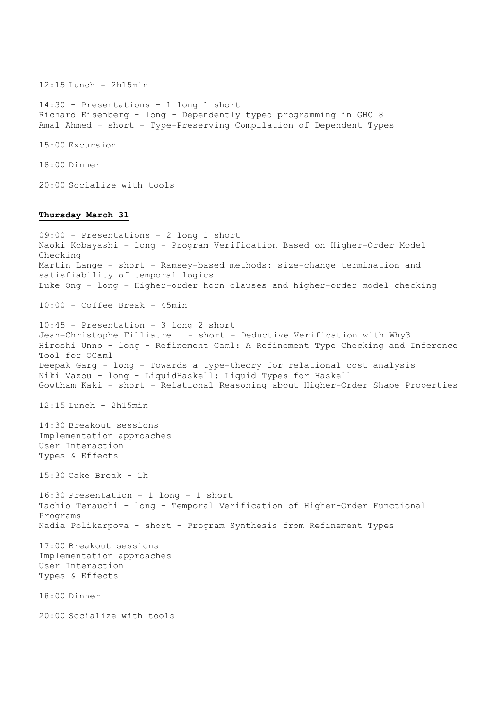12:15 Lunch - 2h15min 14:30 - Presentations - 1 long 1 short Richard Eisenberg - long - Dependently typed programming in GHC 8 Amal Ahmed – short - Type-Preserving Compilation of Dependent Types 15:00 Excursion 18:00 Dinner 20:00 Socialize with tools **Thursday March 31** 09:00 - Presentations - 2 long 1 short Naoki Kobayashi - long - Program Verification Based on Higher-Order Model Checking Martin Lange - short - Ramsey-based methods: size-change termination and satisfiability of temporal logics Luke Ong - long - Higher-order horn clauses and higher-order model checking 10:00 - Coffee Break - 45min 10:45 - Presentation - 3 long 2 short Jean-Christophe Filliatre - short - Deductive Verification with Why3 Hiroshi Unno - long - Refinement Caml: A Refinement Type Checking and Inference Tool for OCaml Deepak Garg - long - Towards a type-theory for relational cost analysis Niki Vazou - long - LiquidHaskell: Liquid Types for Haskell Gowtham Kaki - short - Relational Reasoning about Higher-Order Shape Properties  $12:15$  Lunch -  $2h15min$ 14:30 Breakout sessions Implementation approaches User Interaction Types & Effects  $15:30$  Cake Break - 1h 16:30 Presentation - 1 long - 1 short Tachio Terauchi - long - Temporal Verification of Higher-Order Functional Programs Nadia Polikarpova - short - Program Synthesis from Refinement Types 17:00 Breakout sessions Implementation approaches User Interaction Types & Effects 18:00 Dinner 20:00 Socialize with tools